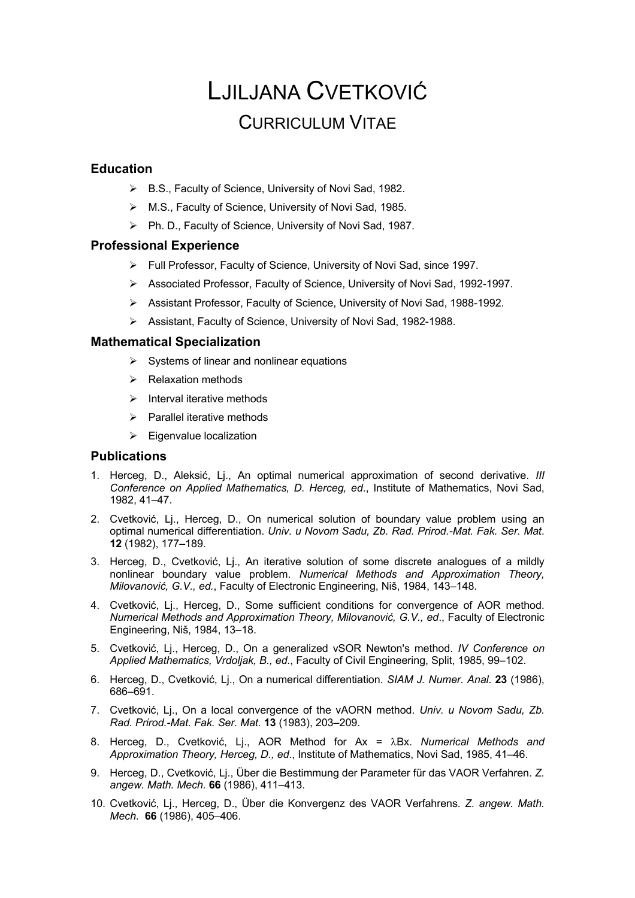# LJILJANA CVETKOVIĆ CURRICULUM VITAE

# **Education**

- Ø B.S., Faculty of Science, University of Novi Sad, 1982.
- Ø M.S., Faculty of Science, University of Novi Sad, 1985.
- Ø Ph. D., Faculty of Science, University of Novi Sad, 1987.

# **Professional Experience**

- Ø Full Professor, Faculty of Science, University of Novi Sad, since 1997.
- Ø Associated Professor, Faculty of Science, University of Novi Sad, 1992-1997.
- Ø Assistant Professor, Faculty of Science, University of Novi Sad, 1988-1992.
- Ø Assistant, Faculty of Science, University of Novi Sad, 1982-1988.

# **Mathematical Specialization**

- $\triangleright$  Systems of linear and nonlinear equations
- $\triangleright$  Relaxation methods
- $\triangleright$  Interval iterative methods
- $\triangleright$  Parallel iterative methods
- $\triangleright$  Eigenvalue localization

# **Publications**

- 1. Herceg, D., Aleksić, Lj., An optimal numerical approximation of second derivative. *III Conference on Applied Mathematics, D. Herceg, ed*., Institute of Mathematics, Novi Sad, 1982, 41–47.
- 2. Cvetković, Lj., Herceg, D., On numerical solution of boundary value problem using an optimal numerical differentiation. *Univ. u Novom Sadu, Zb. Rad. Prirod.-Mat. Fak. Ser. Mat*. **12** (1982), 177–189.
- 3. Herceg, D., Cvetković, Lj., An iterative solution of some discrete analogues of a mildly nonlinear boundary value problem. *Numerical Methods and Approximation Theory, Milovanović, G.V., ed.*, Faculty of Electronic Engineering, Niš, 1984, 143–148.
- 4. Cvetković, Lj., Herceg, D., Some sufficient conditions for convergence of AOR method. *Numerical Methods and Approximation Theory, Milovanović, G.V., ed*., Faculty of Electronic Engineering, Niš, 1984, 13–18.
- 5. Cvetković, Lj., Herceg, D., On a generalized vSOR Newton's method. *IV Conference on Applied Mathematics, Vrdoljak, B., ed*., Faculty of Civil Engineering, Split, 1985, 99–102.
- 6. Herceg, D., Cvetković, Lj., On a numerical differentiation. *SIAM J. Numer. Anal*. **23** (1986), 686–691.
- 7. Cvetković, Lj., On a local convergence of the vAORN method. *Univ. u Novom Sadu, Zb. Rad. Prirod.-Mat. Fak. Ser. Mat.* **13** (1983), 203–209.
- 8. Herceg, D., Cvetković, Li., AOR Method for Ax = λBx. *Numerical Methods and Approximation Theory, Herceg, D., ed*., Institute of Mathematics, Novi Sad, 1985, 41–46.
- 9. Herceg, D., Cvetković, Lj., Über die Bestimmung der Parameter für das VAOR Verfahren. *Z. angew. Math. Mech.* **66** (1986), 411–413.
- 10. Cvetković, Lj., Herceg, D., Über die Konvergenz des VAOR Verfahrens*. Z. angew. Math. Mech*. **66** (1986), 405–406.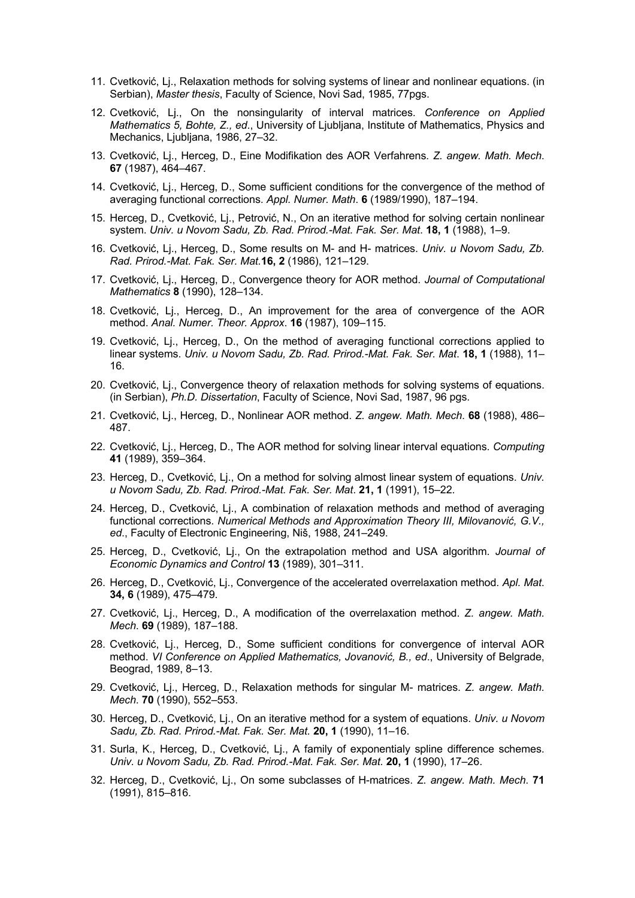- 11. Cvetković, Lj., Relaxation methods for solving systems of linear and nonlinear equations. (in Serbian), *Master thesis*, Faculty of Science, Novi Sad, 1985, 77pgs.
- 12. Cvetković, Lj., On the nonsingularity of interval matrices. *Conference on Applied Mathematics 5, Bohte, Z., ed*., University of Ljubljana, Institute of Mathematics, Physics and Mechanics, Liubliana, 1986, 27-32.
- 13. Cvetković, Lj., Herceg, D., Eine Modifikation des AOR Verfahrens*. Z. angew. Math. Mech*. **67** (1987), 464–467.
- 14. Cvetković, Lj., Herceg, D., Some sufficient conditions for the convergence of the method of averaging functional corrections. *Appl. Numer. Math*. **6** (1989/1990), 187–194.
- 15. Herceg, D., Cvetković, Lj., Petrović, N., On an iterative method for solving certain nonlinear system. *Univ. u Novom Sadu, Zb. Rad. Prirod.-Mat. Fak. Ser. Mat*. **18, 1** (1988), 1–9.
- 16. Cvetković, Lj., Herceg, D., Some results on M- and H- matrices. *Univ. u Novom Sadu, Zb. Rad. Prirod.-Mat. Fak. Ser. Mat.***16, 2** (1986), 121–129.
- 17. Cvetković, Lj., Herceg, D., Convergence theory for AOR method. *Journal of Computational Mathematics* **8** (1990), 128–134.
- 18. Cvetković, Lj., Herceg, D., An improvement for the area of convergence of the AOR method. *Anal. Numer. Theor. Approx*. **16** (1987), 109–115.
- 19. Cvetković, Lj., Herceg, D., On the method of averaging functional corrections applied to linear systems. *Univ. u Novom Sadu, Zb. Rad. Prirod.-Mat. Fak. Ser. Mat*. **18, 1** (1988), 11– 16.
- 20. Cvetković, Lj., Convergence theory of relaxation methods for solving systems of equations. (in Serbian), *Ph.D. Dissertation*, Faculty of Science, Novi Sad, 1987, 96 pgs.
- 21. Cvetković, Lj., Herceg, D., Nonlinear AOR method. *Z. angew. Math. Mech*. **68** (1988), 486– 487.
- 22. Cvetković, Lj., Herceg, D., The AOR method for solving linear interval equations. *Computing* **41** (1989), 359–364.
- 23. Herceg, D., Cvetković, Lj., On a method for solving almost linear system of equations. *Univ. u Novom Sadu, Zb. Rad. Prirod.-Mat. Fak. Ser. Mat*. **21, 1** (1991), 15–22.
- 24. Herceg, D., Cvetković, Lj., A combination of relaxation methods and method of averaging functional corrections. *Numerical Methods and Approximation Theory III, Milovanović, G.V., ed*., Faculty of Electronic Engineering, Niš, 1988, 241–249.
- 25. Herceg, D., Cvetković, Lj., On the extrapolation method and USA algorithm. *Journal of Economic Dynamics and Control* **13** (1989), 301–311.
- 26. Herceg, D., Cvetković, Lj., Convergence of the accelerated overrelaxation method. *Apl. Mat*. **34, 6** (1989), 475–479.
- 27. Cvetković, Lj., Herceg, D., A modification of the overrelaxation method. *Z. angew. Math. Mech*. **69** (1989), 187–188.
- 28. Cvetković, Lj., Herceg, D., Some sufficient conditions for convergence of interval AOR method. *VI Conference on Applied Mathematics, Jovanović, B., ed*., University of Belgrade, Beograd, 1989, 8–13.
- 29. Cvetković, Lj., Herceg, D., Relaxation methods for singular M- matrices. *Z. angew. Math. Mech*. **70** (1990), 552–553.
- 30. Herceg, D., Cvetković, Lj., On an iterative method for a system of equations. *Univ. u Novom Sadu, Zb. Rad. Prirod.-Mat. Fak. Ser. Mat.* **20, 1** (1990), 11–16.
- 31. Surla, K., Herceg, D., Cvetković, Lj., A family of exponentialy spline difference schemes. *Univ. u Novom Sadu, Zb. Rad. Prirod.-Mat. Fak. Ser. Mat.* **20, 1** (1990), 17–26.
- 32. Herceg, D., Cvetković, Lj., On some subclasses of H-matrices. *Z. angew. Math. Mech*. **71** (1991), 815–816.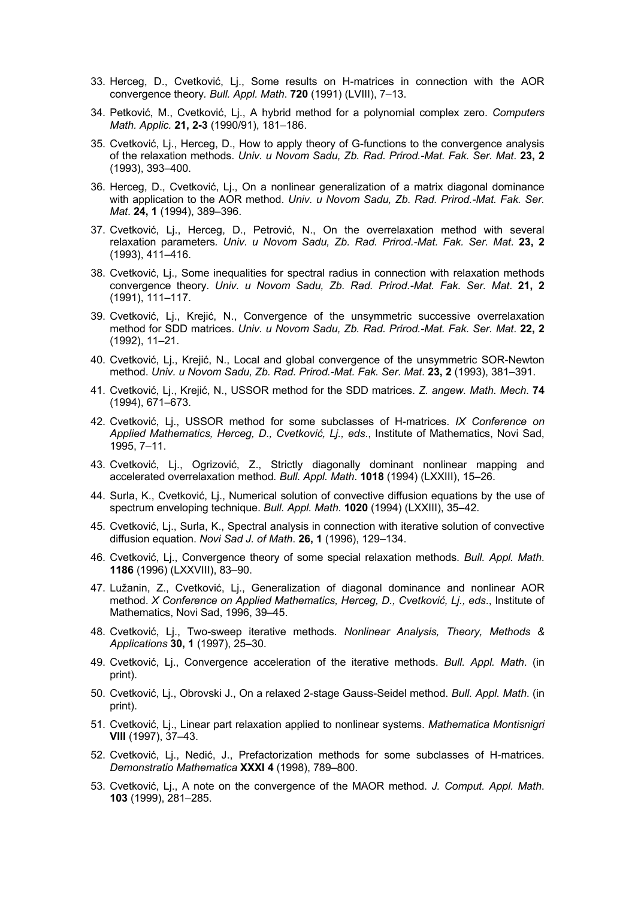- 33. Herceg, D., Cvetković, Lj., Some results on H-matrices in connection with the AOR convergence theory*. Bull. Appl. Math*. **720** (1991) (LVIII), 7–13.
- 34. Petković, M., Cvetković, Lj., A hybrid method for a polynomial complex zero. *Computers Math. Applic.* **21, 2-3** (1990/91), 181–186.
- 35. Cvetković, Lj., Herceg, D., How to apply theory of G-functions to the convergence analysis of the relaxation methods. *Univ. u Novom Sadu, Zb. Rad. Prirod.-Mat. Fak. Ser. Mat*. **23, 2**  (1993), 393–400.
- 36. Herceg, D., Cvetković, Lj., On a nonlinear generalization of a matrix diagonal dominance with application to the AOR method. *Univ. u Novom Sadu, Zb. Rad. Prirod.-Mat. Fak. Ser. Mat*. **24, 1** (1994), 389–396.
- 37. Cvetković, Lj., Herceg, D., Petrović, N., On the overrelaxation method with several relaxation parameters*. Univ. u Novom Sadu, Zb. Rad. Prirod.-Mat. Fak. Ser. Mat*. **23, 2** (1993), 411–416.
- 38. Cvetković, Lj., Some inequalities for spectral radius in connection with relaxation methods convergence theory. *Univ. u Novom Sadu, Zb. Rad. Prirod.-Mat. Fak. Ser. Mat*. **21, 2** (1991), 111–117.
- 39. Cvetković, Lj., Krejić, N., Convergence of the unsymmetric successive overrelaxation method for SDD matrices. *Univ. u Novom Sadu, Zb. Rad. Prirod.-Mat. Fak. Ser. Mat*. **22, 2** (1992), 11–21.
- 40. Cvetković, Lj., Krejić, N., Local and global convergence of the unsymmetric SOR-Newton method. *Univ. u Novom Sadu, Zb. Rad. Prirod.-Mat. Fak. Ser. Mat*. **23, 2** (1993), 381–391.
- 41. Cvetković, Lj., Krejić, N., USSOR method for the SDD matrices. *Z. angew. Math. Mech*. **74** (1994), 671–673.
- 42. Cvetković, Lj., USSOR method for some subclasses of H-matrices. *IX Conference on Applied Mathematics, Herceg, D., Cvetković, Lj., eds*., Institute of Mathematics, Novi Sad, 1995, 7–11.
- 43. Cvetković, Lj., Ogrizović, Z., Strictly diagonally dominant nonlinear mapping and accelerated overrelaxation method*. Bull. Appl. Math*. **1018** (1994) (LXXIII), 15–26.
- 44. Surla, K., Cvetković, Lj., Numerical solution of convective diffusion equations by the use of spectrum enveloping technique. *Bull. Appl. Math*. **1020** (1994) (LXXIII), 35–42.
- 45. Cvetković, Lj., Surla, K., Spectral analysis in connection with iterative solution of convective diffusion equation. *Novi Sad J. of Math*. **26, 1** (1996), 129–134.
- 46. Cvetković, Lj., Convergence theory of some special relaxation methods. *Bull. Appl. Math*. **1186** (1996) (LXXVIII), 83–90.
- 47. Lužanin, Z., Cvetković, Lj., Generalization of diagonal dominance and nonlinear AOR method. *X Conference on Applied Mathematics, Herceg, D., Cvetković, Lj., eds*., Institute of Mathematics, Novi Sad, 1996, 39–45.
- 48. Cvetković, Lj., Two-sweep iterative methods. *Nonlinear Analysis, Theory, Methods & Applications* **30, 1** (1997), 25–30.
- 49. Cvetković, Lj., Convergence acceleration of the iterative methods. *Bull. Appl. Math*. (in print).
- 50. Cvetković, Lj., Obrovski J., On a relaxed 2-stage Gauss-Seidel method. *Bull. Appl. Math*. (in print).
- 51. Cvetković, Lj., Linear part relaxation applied to nonlinear systems. *Mathematica Montisnigri* **VIII** (1997), 37–43.
- 52. Cvetković, Lj., Nedić, J., Prefactorization methods for some subclasses of H-matrices. *Demonstratio Mathematica* **XXXI 4** (1998), 789–800.
- 53. Cvetković, Lj., A note on the convergence of the MAOR method. *J. Comput. Appl. Math*. **103** (1999), 281–285.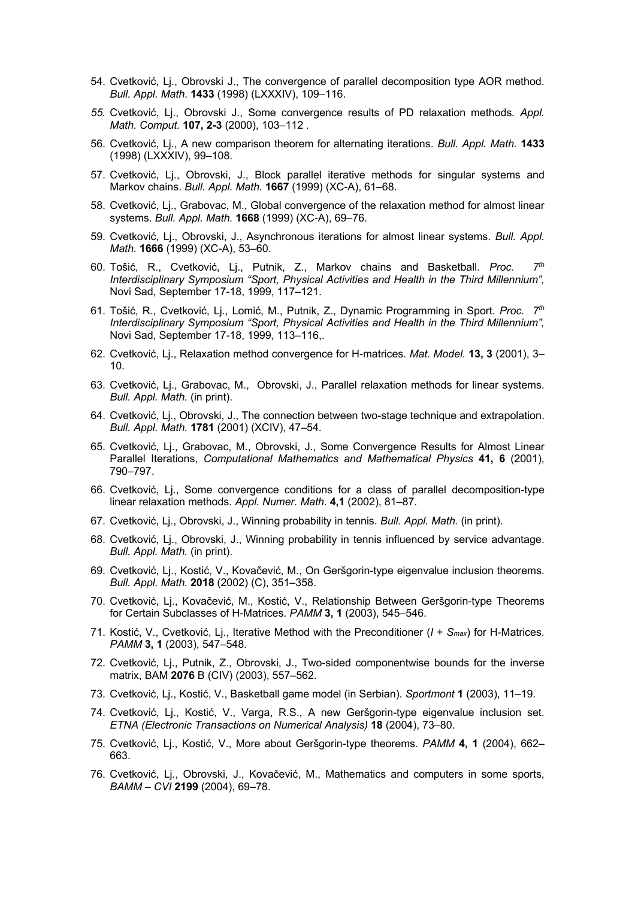- 54. Cvetković, Lj., Obrovski J., The convergence of parallel decomposition type AOR method. *Bull. Appl. Math*. **1433** (1998) (LXXXIV), 109–116.
- *55.* Cvetković, Lj., Obrovski J., Some convergence results of PD relaxation methods*. Appl. Math. Comput.* **107, 2-3** (2000), 103–112 *.*
- 56. Cvetković, Lj., A new comparison theorem for alternating iterations. *Bull. Appl. Math.* **1433** (1998) (LXXXIV), 99–108.
- 57. Cvetković, Lj., Obrovski, J., Block parallel iterative methods for singular systems and Markov chains. *Bull. Appl. Math.* **1667** (1999) (XC-A), 61–68.
- 58. Cvetković, Lj., Grabovac, M., Global convergence of the relaxation method for almost linear systems. *Bull. Appl. Math.* **1668** (1999) (XC-A), 69–76.
- 59. Cvetković, Lj., Obrovski, J., Asynchronous iterations for almost linear systems. *Bull. Appl. Math.* **1666** (1999) (XC-A), 53–60.
- 60. Tošić, R., Cvetković, Lj., Putnik, Z., Markov chains and Basketball. *Proc. 7th Interdisciplinary Symposium "Sport, Physical Activities and Health in the Third Millennium",* Novi Sad, September 17-18, 1999, 117–121.
- 61. Tošić, R., Cvetković, Lj., Lomić, M., Putnik, Z., Dynamic Programming in Sport. *Proc. 7th Interdisciplinary Symposium "Sport, Physical Activities and Health in the Third Millennium",* Novi Sad, September 17-18, 1999, 113–116,.
- 62. Cvetković, Lj., Relaxation method convergence for H-matrices*. Mat. Model.* **13, 3** (2001), 3– 10.
- 63. Cvetković, Lj., Grabovac, M., Obrovski, J., Parallel relaxation methods for linear systems. *Bull. Appl. Math.* (in print).
- 64. Cvetković, Lj., Obrovski, J., The connection between two-stage technique and extrapolation. *Bull. Appl. Math.* **1781** (2001) (XCIV), 47–54.
- 65. Cvetković, Lj., Grabovac, M., Obrovski, J., Some Convergence Results for Almost Linear Parallel Iterations, *Computational Mathematics and Mathematical Physics* **41, 6** (2001), 790–797.
- 66. Cvetković, Lj., Some convergence conditions for a class of parallel decomposition-type linear relaxation methods*. Appl. Numer. Math.* **4,1** (2002), 81–87.
- 67. Cvetković, Lj., Obrovski, J., Winning probability in tennis. *Bull. Appl. Math.* (in print).
- 68. Cvetković, Lj., Obrovski, J., Winning probability in tennis influenced by service advantage. *Bull. Appl. Math.* (in print).
- 69. Cvetković, Lj., Kostić, V., Kovačević, M., On Geršgorin-type eigenvalue inclusion theorems. *Bull. Appl. Math.* **2018** (2002) (C), 351–358.
- 70. Cvetković, Lj., Kovačević, M., Kostić, V., Relationship Between Geršgorin-type Theorems for Certain Subclasses of H-Matrices. *PAMM* **3, 1** (2003), 545–546.
- 71. Kostić, V., Cvetković, Lj., Iterative Method with the Preconditioner (*I* + *Smax*) for H-Matrices. *PAMM* **3, 1** (2003), 547–548.
- 72. Cvetković, Lj., Putnik, Z., Obrovski, J., Two-sided componentwise bounds for the inverse matrix, BAM **2076** B (CIV) (2003), 557–562.
- 73. Cvetković, Lj., Kostić, V., Basketball game model (in Serbian). *Sportmont* **1** (2003), 11–19.
- 74. Cvetković, Lj., Kostić, V., Varga, R.S., A new Geršgorin-type eigenvalue inclusion set. *ETNA (Electronic Transactions on Numerical Analysis)* **18** (2004), 73–80.
- 75. Cvetković, Lj., Kostić, V., More about Geršgorin-type theorems. *PAMM* **4, 1** (2004), 662– 663.
- 76. Cvetković, Lj., Obrovski, J., Kovačević, M., Mathematics and computers in some sports, *BAMM – CVI* **2199** (2004), 69–78.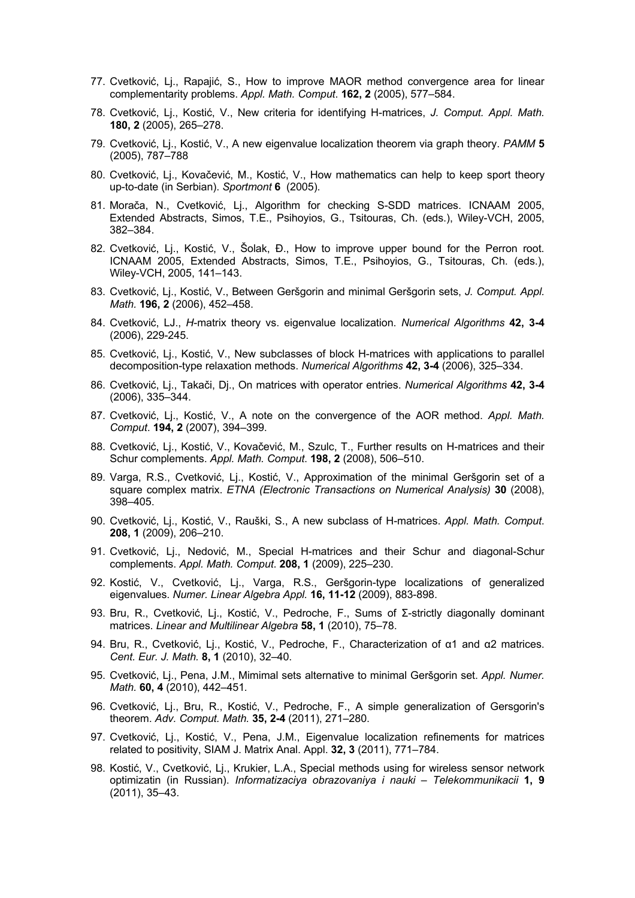- 77. Cvetković, Lj., Rapajić, S., How to improve MAOR method convergence area for linear complementarity problems. *Appl. Math. Comput*. **162, 2** (2005), 577–584.
- 78. Cvetković, Lj., Kostić, V., New criteria for identifying H-matrices, *J. Comput. Appl. Math.* **180, 2** (2005), 265–278.
- 79. Cvetković, Lj., Kostić, V., A new eigenvalue localization theorem via graph theory. *PAMM* **5** (2005), 787–788
- 80. Cvetković, Lj., Kovačević, M., Kostić, V., How mathematics can help to keep sport theory up-to-date (in Serbian). *Sportmont* **6** (2005).
- 81. Morača, N., Cvetković, Lj., Algorithm for checking S-SDD matrices. ICNAAM 2005, Extended Abstracts, Simos, T.E., Psihoyios, G., Tsitouras, Ch. (eds.), Wiley-VCH, 2005, 382–384.
- 82. Cvetković, Lj., Kostić, V., Šolak, Đ., How to improve upper bound for the Perron root. ICNAAM 2005, Extended Abstracts, Simos, T.E., Psihoyios, G., Tsitouras, Ch. (eds.), Wiley-VCH, 2005, 141–143.
- 83. Cvetković, Lj., Kostić, V., Between Geršgorin and minimal Geršgorin sets, *J. Comput. Appl. Math.* **196, 2** (2006), 452–458.
- 84. Cvetković, LJ., *H*-matrix theory vs. eigenvalue localization. *Numerical Algorithms* **42, 3-4** (2006), 229-245.
- 85. Cvetković, Lj., Kostić, V., New subclasses of block H-matrices with applications to parallel decomposition-type relaxation methods. *Numerical Algorithms* **42, 3-4** (2006), 325–334.
- 86. Cvetković, Lj., Takači, Dj., On matrices with operator entries. *Numerical Algorithms* **42, 3-4** (2006), 335–344.
- 87. Cvetković, Lj., Kostić, V., A note on the convergence of the AOR method. *Appl. Math. Comput*. **194, 2** (2007), 394–399.
- 88. Cvetković, Lj., Kostić, V., Kovačević, M., Szulc, T., Further results on H-matrices and their Schur complements. *Appl. Math. Comput*. **198, 2** (2008), 506–510.
- 89. Varga, R.S., Cvetković, Lj., Kostić, V., Approximation of the minimal Geršgorin set of a square complex matrix. *ETNA (Electronic Transactions on Numerical Analysis)* **30** (2008), 398–405.
- 90. Cvetković, Lj., Kostić, V., Rauški, S., A new subclass of H-matrices. *Appl. Math. Comput*. **208, 1** (2009), 206–210.
- 91. Cvetković, Lj., Nedović, M., Special H-matrices and their Schur and diagonal-Schur complements. *Appl. Math. Comput*. **208, 1** (2009), 225–230.
- 92. Kostić, V., Cvetković, Lj., Varga, R.S., Geršgorin-type localizations of generalized eigenvalues. *Numer. Linear Algebra Appl.* **16, 11-12** (2009), 883-898.
- 93. Bru, R., Cvetković, Lj., Kostić, V., Pedroche, F., Sums of Σ-strictly diagonally dominant matrices. *Linear and Multilinear Algebra* **58, 1** (2010), 75–78.
- 94. Bru, R., Cvetković, Lj., Kostić, V., Pedroche, F., Characterization of α1 and α2 matrices. *Cent. Eur. J. Math.* **8, 1** (2010), 32–40.
- 95. Cvetković, Lj., Pena, J.M., Mimimal sets alternative to minimal Geršgorin set. *Appl. Numer. Math.* **60, 4** (2010), 442–451*.*
- 96. Cvetković, Lj., Bru, R., Kostić, V., Pedroche, F., A simple generalization of Gersgorin's theorem. *Adv. Comput. Math.* **35, 2-4** (2011), 271–280.
- 97. Cvetković, Lj., Kostić, V., Pena, J.M., Eigenvalue localization refinements for matrices related to positivity, SIAM J. Matrix Anal. Appl. **32, 3** (2011), 771–784.
- 98. Kostić, V., Cvetković, Lj., Krukier, L.A., Special methods using for wireless sensor network optimizatin (in Russian). *Informatizaciya obrazovaniya i nauki – Telekommunikacii* **1, 9**  (2011), 35–43.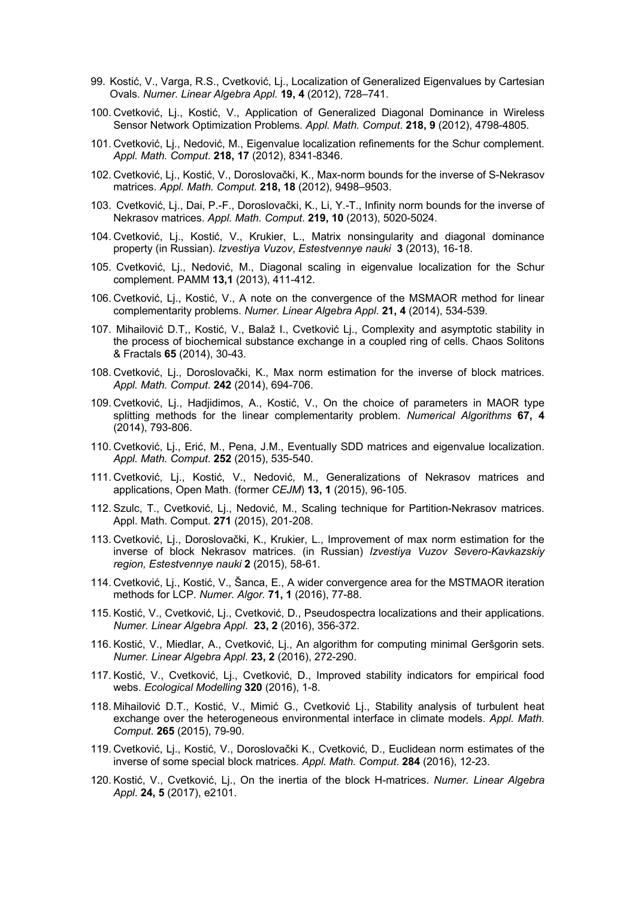- 99. Kostić, V., Varga, R.S., Cvetković, Lj., Localization of Generalized Eigenvalues by Cartesian Ovals. *Numer. Linear Algebra Appl.* **19, 4** (2012), 728–741.
- 100. Cvetković, Lj., Kostić, V., Application of Generalized Diagonal Dominance in Wireless Sensor Network Optimization Problems. *Appl. Math. Comput*. **218, 9** (2012), 4798-4805.
- 101. Cvetković, Lj., Nedović, M., Eigenvalue localization refinements for the Schur complement. *Appl. Math. Comput*. **218, 17** (2012), 8341-8346.
- 102. Cvetković, Lj., Kostić, V., Doroslovački, K., Max-norm bounds for the inverse of S-Nekrasov matrices. *Appl. Math. Comput*. **218, 18** (2012), 9498–9503.
- 103. Cvetković, Lj., Dai, P.-F., Doroslovački, K., Li, Y.-T., Infinity norm bounds for the inverse of Nekrasov matrices. *Appl. Math. Comput*. **219, 10** (2013), 5020-5024.
- 104. Cvetković, Lj., Kostić, V., Krukier, L., Matrix nonsingularity and diagonal dominance property (in Russian). *Izvestiya Vuzov*, *Estestvennye nauki* **3** (2013), 16-18.
- 105. Cvetković, Lj., Nedović, M., Diagonal scaling in eigenvalue localization for the Schur complement. PAMM **13,1** (2013), 411-412.
- 106. Cvetković, Lj., Kostić, V., A note on the convergence of the MSMAOR method for linear complementarity problems. *Numer. Linear Algebra Appl*. **21, 4** (2014), 534-539.
- 107. Mihailović D.T,, Kostić, V., Balaž I., Cvetković Lj., Complexity and asymptotic stability in the process of biochemical substance exchange in a coupled ring of cells. Chaos Solitons & Fractals **65** (2014), 30-43.
- 108. Cvetković, Lj., Doroslovački, K., Max norm estimation for the inverse of block matrices. *Appl. Math. Comput*. **242** (2014), 694-706.
- 109. Cvetković, Lj., Hadjidimos, A., Kostić, V., On the choice of parameters in MAOR type splitting methods for the linear complementarity problem. *Numerical Algorithms* **67, 4** (2014), 793-806.
- 110. Cvetković, Lj., Erić, M., Pena, J.M., Eventually SDD matrices and eigenvalue localization. *Appl. Math. Comput*. **252** (2015), 535-540.
- 111. Cvetković, Lj., Kostić, V., Nedović, M., Generalizations of Nekrasov matrices and applications, Open Math. (former *CEJM*) **13, 1** (2015), 96-105.
- 112. Szulc, T., Cvetković, Lj., Nedović, M., Scaling technique for Partition-Nekrasov matrices. Appl. Math. Comput. **271** (2015), 201-208.
- 113. Cvetković, Lj., Doroslovački, K., Krukier, L., Improvement of max norm estimation for the inverse of block Nekrasov matrices. (in Russian) *Izvestiya Vuzov Severo-Kavkazskiy region, Estestvennye nauki* **2** (2015), 58-61.
- 114. Cvetković, Lj., Kostić, V., Šanca, E., A wider convergence area for the MSTMAOR iteration methods for LCP. *Numer. Algor.* **71, 1** (2016), 77-88.
- 115. Kostić, V., Cvetković, Lj., Cvetković, D., Pseudospectra localizations and their applications. *Numer. Linear Algebra Appl*. **23, 2** (2016), 356-372.
- 116. Kostić, V., Miedlar, A., Cvetković, Lj., An algorithm for computing minimal Geršgorin sets. *Numer. Linear Algebra Appl*. **23, 2** (2016), 272-290.
- 117. Kostić, V., Cvetković, Lj., Cvetković, D., Improved stability indicators for empirical food webs. *Ecological Modelling* **320** (2016), 1-8.
- 118. Mihailović D.T., Kostić, V., Mimić G., Cvetković Lj., Stability analysis of turbulent heat exchange over the heterogeneous environmental interface in climate models. *Appl. Math. Comput*. **265** (2015), 79-90.
- 119. Cvetković, Lj., Kostić, V., Doroslovački K., Cvetković, D., Euclidean norm estimates of the inverse of some special block matrices. *Appl. Math. Comput*. **284** (2016), 12-23.
- 120. Kostić, V., Cvetković, Lj., On the inertia of the block H-matrices. *Numer. Linear Algebra Appl*. **24, 5** (2017), e2101.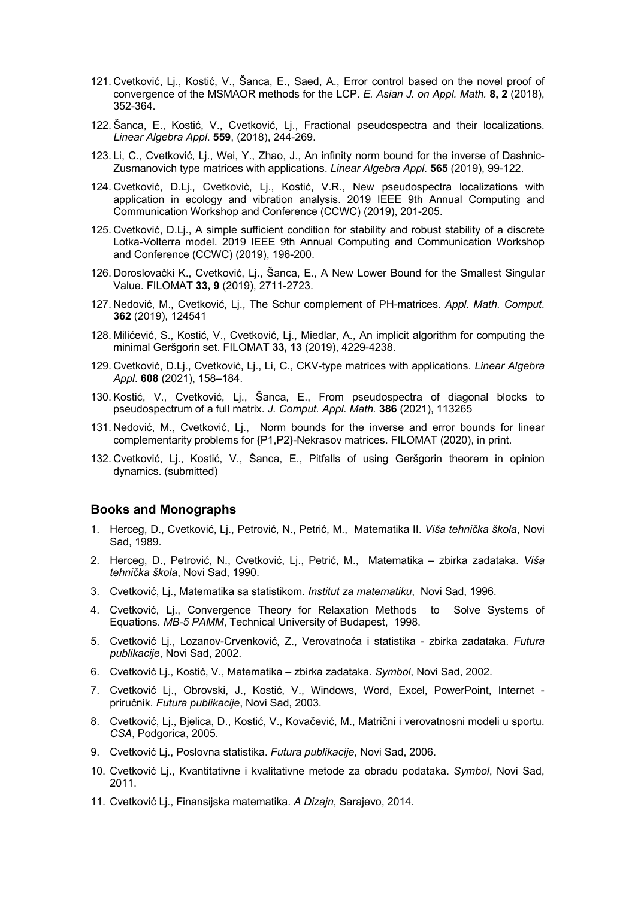- 121. Cvetković, Lj., Kostić, V., Šanca, E., Saed, A., Error control based on the novel proof of convergence of the MSMAOR methods for the LCP. *E. Asian J. on Appl. Math.* **8, 2** (2018), 352-364.
- 122. Šanca, E., Kostić, V., Cvetković, Lj., Fractional pseudospectra and their localizations. *Linear Algebra Appl*. **559**, (2018), 244-269.
- 123. Li, C., Cvetković, Lj., Wei, Y., Zhao, J., An infinity norm bound for the inverse of Dashnic-Zusmanovich type matrices with applications. *Linear Algebra Appl*. **565** (2019), 99-122.
- 124. Cvetković, D.Lj., Cvetković, Lj., Kostić, V.R., New pseudospectra localizations with application in ecology and vibration analysis. 2019 IEEE 9th Annual Computing and Communication Workshop and Conference (CCWC) (2019), 201-205.
- 125. Cvetković, D.Lj., A simple sufficient condition for stability and robust stability of a discrete Lotka-Volterra model. 2019 IEEE 9th Annual Computing and Communication Workshop and Conference (CCWC) (2019), 196-200.
- 126. Doroslovački K., Cvetković, Lj., Šanca, E., A New Lower Bound for the Smallest Singular Value. FILOMAT **33, 9** (2019), 2711-2723.
- 127. Nedović, M., Cvetković, Lj., The Schur complement of PH-matrices. *Appl. Math. Comput*. **362** (2019), 124541
- 128. Milićević, S., Kostić, V., Cvetković, Lj., Miedlar, A., An implicit algorithm for computing the minimal Geršgorin set. FILOMAT **33, 13** (2019), 4229-4238.
- 129. Cvetković, D.Lj., Cvetković, Lj., Li, C., CKV-type matrices with applications. *Linear Algebra Appl*. **608** (2021), 158–184.
- 130. Kostić, V., Cvetković, Lj., Šanca, E., From pseudospectra of diagonal blocks to pseudospectrum of a full matrix. *J. Comput. Appl. Math.* **386** (2021), 113265
- 131. Nedović, M., Cvetković, Lj., Norm bounds for the inverse and error bounds for linear complementarity problems for {P1,P2}-Nekrasov matrices. FILOMAT (2020), in print.
- 132. Cvetković, Lj., Kostić, V., Šanca, E., Pitfalls of using Geršgorin theorem in opinion dynamics. (submitted)

## **Books and Monographs**

- 1. Herceg, D., Cvetković, Lj., Petrović, N., Petrić, M., Matematika II. *Viša tehnička škola*, Novi Sad, 1989.
- 2. Herceg, D., Petrović, N., Cvetković, Lj., Petrić, M., Matematika zbirka zadataka. *Viša tehnička škola*, Novi Sad, 1990.
- 3. Cvetković, Lj., Matematika sa statistikom. *Institut za matematiku*, Novi Sad, 1996.
- 4. Cvetković, Lj., Convergence Theory for Relaxation Methods to Solve Systems of Equations. *MB-5 PAMM*, Technical University of Budapest, 1998.
- 5. Cvetković Lj., Lozanov-Crvenković, Z., Verovatnoća i statistika zbirka zadataka. *Futura publikacije*, Novi Sad, 2002.
- 6. Cvetković Lj., Kostić, V., Matematika zbirka zadataka. *Symbol*, Novi Sad, 2002.
- 7. Cvetković Lj., Obrovski, J., Kostić, V., Windows, Word, Excel, PowerPoint, Internet priručnik. *Futura publikacije*, Novi Sad, 2003.
- 8. Cvetković, Lj., Bjelica, D., Kostić, V., Kovačević, M., Matrični i verovatnosni modeli u sportu. *CSA*, Podgorica, 2005.
- 9. Cvetković Lj., Poslovna statistika. *Futura publikacije*, Novi Sad, 2006.
- 10. Cvetković Lj., Kvantitativne i kvalitativne metode za obradu podataka. *Symbol*, Novi Sad, 2011.
- 11. Cvetković Lj., Finansijska matematika. *A Dizajn*, Sarajevo, 2014.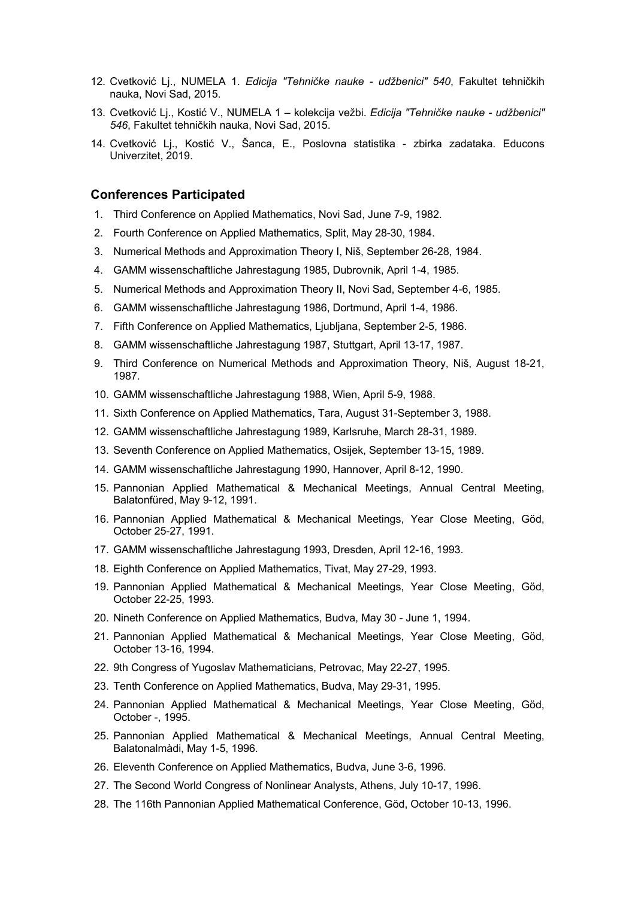- 12. Cvetković Lj., NUMELA 1. *Edicija "Tehničke nauke - udžbenici" 540*, Fakultet tehničkih nauka, Novi Sad, 2015.
- 13. Cvetković Lj., Kostić V., NUMELA 1 kolekcija vežbi. *Edicija "Tehničke nauke - udžbenici" 546*, Fakultet tehničkih nauka, Novi Sad, 2015.
- 14. Cvetković Lj., Kostić V., Šanca, E., Poslovna statistika zbirka zadataka. Educons Univerzitet, 2019.

#### **Conferences Participated**

- 1. Third Conference on Applied Mathematics, Novi Sad, June 7-9, 1982.
- 2. Fourth Conference on Applied Mathematics, Split, May 28-30, 1984.
- 3. Numerical Methods and Approximation Theory I, Niš, September 26-28, 1984.
- 4. GAMM wissenschaftliche Jahrestagung 1985, Dubrovnik, April 1-4, 1985.
- 5. Numerical Methods and Approximation Theory II, Novi Sad, September 4-6, 1985.
- 6. GAMM wissenschaftliche Jahrestagung 1986, Dortmund, April 1-4, 1986.
- 7. Fifth Conference on Applied Mathematics, Ljubljana, September 2-5, 1986.
- 8. GAMM wissenschaftliche Jahrestagung 1987, Stuttgart, April 13-17, 1987.
- 9. Third Conference on Numerical Methods and Approximation Theory, Niš, August 18-21, 1987.
- 10. GAMM wissenschaftliche Jahrestagung 1988, Wien, April 5-9, 1988.
- 11. Sixth Conference on Applied Mathematics, Tara, August 31-September 3, 1988.
- 12. GAMM wissenschaftliche Jahrestagung 1989, Karlsruhe, March 28-31, 1989.
- 13. Seventh Conference on Applied Mathematics, Osijek, September 13-15, 1989.
- 14. GAMM wissenschaftliche Jahrestagung 1990, Hannover, April 8-12, 1990.
- 15. Pannonian Applied Mathematical & Mechanical Meetings, Annual Central Meeting, Balatonfüred, May 9-12, 1991.
- 16. Pannonian Applied Mathematical & Mechanical Meetings, Year Close Meeting, Göd, October 25-27, 1991.
- 17. GAMM wissenschaftliche Jahrestagung 1993, Dresden, April 12-16, 1993.
- 18. Eighth Conference on Applied Mathematics, Tivat, May 27-29, 1993.
- 19. Pannonian Applied Mathematical & Mechanical Meetings, Year Close Meeting, Göd, October 22-25, 1993.
- 20. Nineth Conference on Applied Mathematics, Budva, May 30 June 1, 1994.
- 21. Pannonian Applied Mathematical & Mechanical Meetings, Year Close Meeting, Göd, October 13-16, 1994.
- 22. 9th Congress of Yugoslav Mathematicians, Petrovac, May 22-27, 1995.
- 23. Tenth Conference on Applied Mathematics, Budva, May 29-31, 1995.
- 24. Pannonian Applied Mathematical & Mechanical Meetings, Year Close Meeting, Göd, October -, 1995.
- 25. Pannonian Applied Mathematical & Mechanical Meetings, Annual Central Meeting, Balatonalmàdi, May 1-5, 1996.
- 26. Eleventh Conference on Applied Mathematics, Budva, June 3-6, 1996.
- 27. The Second World Congress of Nonlinear Analysts, Athens, July 10-17, 1996.
- 28. The 116th Pannonian Applied Mathematical Conference, Göd, October 10-13, 1996.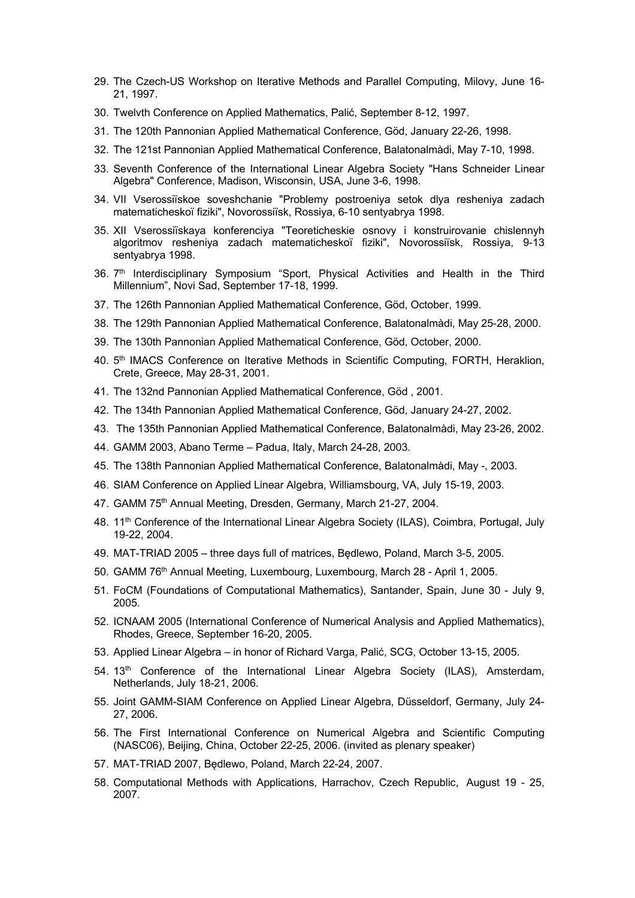- 29. The Czech-US Workshop on Iterative Methods and Parallel Computing, Milovy, June 16- 21, 1997.
- 30. Twelvth Conference on Applied Mathematics, Palić, September 8-12, 1997.
- 31. The 120th Pannonian Applied Mathematical Conference, Göd, January 22-26, 1998.
- 32. The 121st Pannonian Applied Mathematical Conference, Balatonalmàdi, May 7-10, 1998.
- 33. Seventh Conference of the International Linear Algebra Society "Hans Schneider Linear Algebra" Conference, Madison, Wisconsin, USA, June 3-6, 1998.
- 34. VII Vserossiïskoe soveshchanie "Problemy postroeniya setok dlya resheniya zadach matematicheskoï fiziki", Novorossiïsk, Rossiya, 6-10 sentyabrya 1998.
- 35. XII Vserossiïskaya konferenciya "Teoreticheskie osnovy i konstruirovanie chislennyh algoritmov resheniya zadach matematicheskoï fiziki", Novorossiïsk, Rossiya, 9-13 sentyabrya 1998.
- 36. 7<sup>th</sup> Interdisciplinary Symposium "Sport, Physical Activities and Health in the Third Millennium", Novi Sad, September 17-18, 1999.
- 37. The 126th Pannonian Applied Mathematical Conference, Göd, October, 1999.
- 38. The 129th Pannonian Applied Mathematical Conference, Balatonalmàdi, May 25-28, 2000.
- 39. The 130th Pannonian Applied Mathematical Conference, Göd, October, 2000.
- 40. 5<sup>th</sup> IMACS Conference on Iterative Methods in Scientific Computing, FORTH, Heraklion, Crete, Greece, May 28-31, 2001.
- 41. The 132nd Pannonian Applied Mathematical Conference, Göd , 2001.
- 42. The 134th Pannonian Applied Mathematical Conference, Göd, January 24-27, 2002.
- 43. The 135th Pannonian Applied Mathematical Conference, Balatonalmàdi, May 23-26, 2002.
- 44. GAMM 2003, Abano Terme Padua, Italy, March 24-28, 2003.
- 45. The 138th Pannonian Applied Mathematical Conference, Balatonalmàdi, May -, 2003.
- 46. SIAM Conference on Applied Linear Algebra, Williamsbourg, VA, July 15-19, 2003.
- 47. GAMM 75<sup>th</sup> Annual Meeting, Dresden, Germany, March 21-27, 2004.
- 48. 11<sup>th</sup> Conference of the International Linear Algebra Society (ILAS), Coimbra, Portugal, July 19-22, 2004.
- 49. MAT-TRIAD 2005 three days full of matrices, Będlewo, Poland, March 3-5, 2005.
- 50. GAMM 76<sup>th</sup> Annual Meeting, Luxembourg, Luxembourg, March 28 April 1, 2005.
- 51. FoCM (Foundations of Computational Mathematics), Santander, Spain, June 30 July 9, 2005.
- 52. ICNAAM 2005 (International Conference of Numerical Analysis and Applied Mathematics), Rhodes, Greece, September 16-20, 2005.
- 53. Applied Linear Algebra in honor of Richard Varga, Palić, SCG, October 13-15, 2005.
- 54. 13<sup>th</sup> Conference of the International Linear Algebra Society (ILAS), Amsterdam, Netherlands, July 18-21, 2006.
- 55. Joint GAMM-SIAM Conference on Applied Linear Algebra, Düsseldorf, Germany, July 24- 27, 2006.
- 56. The First International Conference on Numerical Algebra and Scientific Computing (NASC06), Beijing, China, October 22-25, 2006. (invited as plenary speaker)
- 57. MAT-TRIAD 2007, Będlewo, Poland, March 22-24, 2007.
- 58. Computational Methods with Applications, Harrachov, Czech Republic, August 19 25, 2007.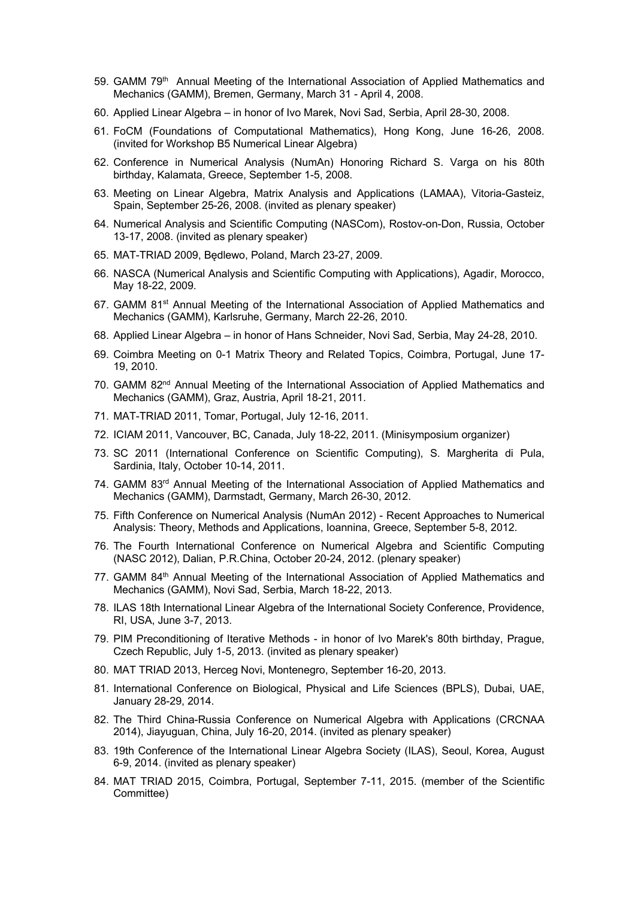- 59. GAMM 79<sup>th</sup> Annual Meeting of the International Association of Applied Mathematics and Mechanics (GAMM), Bremen, Germany, March 31 - April 4, 2008.
- 60. Applied Linear Algebra in honor of Ivo Marek, Novi Sad, Serbia, April 28-30, 2008.
- 61. FoCM (Foundations of Computational Mathematics), Hong Kong, June 16-26, 2008. (invited for Workshop B5 Numerical Linear Algebra)
- 62. Conference in Numerical Analysis (NumAn) Honoring Richard S. Varga on his 80th birthday, Kalamata, Greece, September 1-5, 2008.
- 63. Meeting on Linear Algebra, Matrix Analysis and Applications (LAMAA), Vitoria-Gasteiz, Spain, September 25-26, 2008. (invited as plenary speaker)
- 64. Numerical Analysis and Scientific Computing (NASCom), Rostov-on-Don, Russia, October 13-17, 2008. (invited as plenary speaker)
- 65. MAT-TRIAD 2009, Będlewo, Poland, March 23-27, 2009.
- 66. NASCA (Numerical Analysis and Scientific Computing with Applications), Agadir, Morocco, May 18-22, 2009.
- 67. GAMM 81<sup>st</sup> Annual Meeting of the International Association of Applied Mathematics and Mechanics (GAMM), Karlsruhe, Germany, March 22-26, 2010.
- 68. Applied Linear Algebra in honor of Hans Schneider, Novi Sad, Serbia, May 24-28, 2010.
- 69. Coimbra Meeting on 0-1 Matrix Theory and Related Topics, Coimbra, Portugal, June 17- 19, 2010.
- 70. GAMM 82<sup>nd</sup> Annual Meeting of the International Association of Applied Mathematics and Mechanics (GAMM), Graz, Austria, April 18-21, 2011.
- 71. MAT-TRIAD 2011, Tomar, Portugal, July 12-16, 2011.
- 72. ICIAM 2011, Vancouver, BC, Canada, July 18-22, 2011. (Minisymposium organizer)
- 73. SC 2011 (International Conference on Scientific Computing), S. Margherita di Pula, Sardinia, Italy, October 10-14, 2011.
- 74. GAMM  $83<sup>rd</sup>$  Annual Meeting of the International Association of Applied Mathematics and Mechanics (GAMM), Darmstadt, Germany, March 26-30, 2012.
- 75. Fifth Conference on Numerical Analysis (NumAn 2012) Recent Approaches to Numerical Analysis: Theory, Methods and Applications, Ioannina, Greece, September 5-8, 2012.
- 76. The Fourth International Conference on Numerical Algebra and Scientific Computing (NASC 2012), Dalian, P.R.China, October 20-24, 2012. (plenary speaker)
- 77. GAMM 84<sup>th</sup> Annual Meeting of the International Association of Applied Mathematics and Mechanics (GAMM), Novi Sad, Serbia, March 18-22, 2013.
- 78. ILAS 18th International Linear Algebra of the International Society Conference, Providence, RI, USA, June 3-7, 2013.
- 79. PIM Preconditioning of Iterative Methods in honor of Ivo Marek's 80th birthday, Prague, Czech Republic, July 1-5, 2013. (invited as plenary speaker)
- 80. MAT TRIAD 2013, Herceg Novi, Montenegro, September 16-20, 2013.
- 81. International Conference on Biological, Physical and Life Sciences (BPLS), Dubai, UAE, January 28-29, 2014.
- 82. The Third China-Russia Conference on Numerical Algebra with Applications (CRCNAA 2014), Jiayuguan, China, July 16-20, 2014. (invited as plenary speaker)
- 83. 19th Conference of the International Linear Algebra Society (ILAS), Seoul, Korea, August 6-9, 2014. (invited as plenary speaker)
- 84. MAT TRIAD 2015, Coimbra, Portugal, September 7-11, 2015. (member of the Scientific Committee)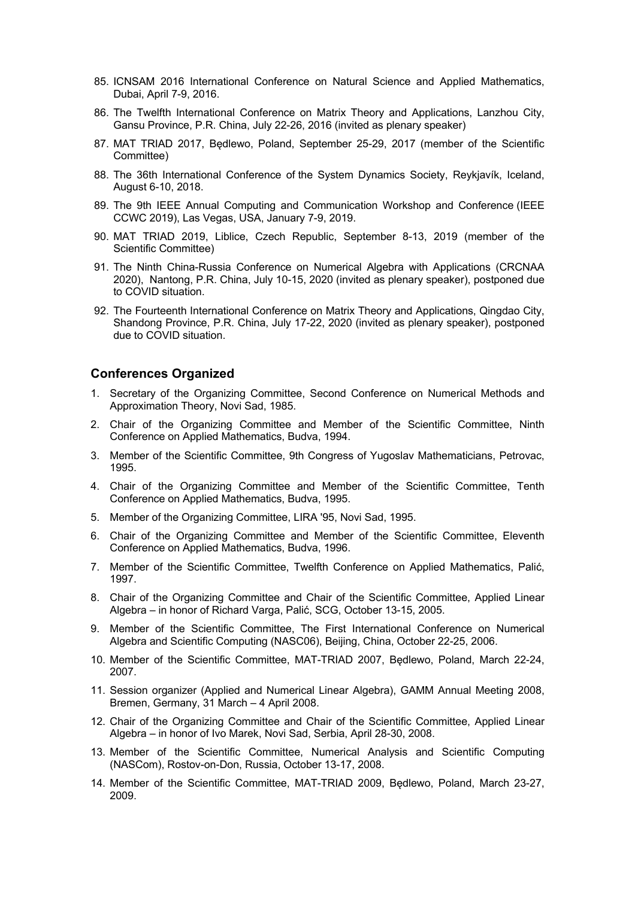- 85. ICNSAM 2016 International Conference on Natural Science and Applied Mathematics, Dubai, April 7-9, 2016.
- 86. The Twelfth International Conference on Matrix Theory and Applications, Lanzhou City, Gansu Province, P.R. China, July 22-26, 2016 (invited as plenary speaker)
- 87. MAT TRIAD 2017, Będlewo, Poland, September 25-29, 2017 (member of the Scientific Committee)
- 88. The 36th International Conference of the System Dynamics Society, Reykjavík, Iceland, August 6-10, 2018.
- 89. The 9th IEEE Annual Computing and Communication Workshop and Conference (IEEE CCWC 2019), Las Vegas, USA, January 7-9, 2019.
- 90. MAT TRIAD 2019, Liblice, Czech Republic, September 8-13, 2019 (member of the Scientific Committee)
- 91. The Ninth China-Russia Conference on Numerical Algebra with Applications (CRCNAA 2020), Nantong, P.R. China, July 10-15, 2020 (invited as plenary speaker), postponed due to COVID situation.
- 92. The Fourteenth International Conference on Matrix Theory and Applications, Qingdao City, Shandong Province, P.R. China, July 17-22, 2020 (invited as plenary speaker), postponed due to COVID situation.

#### **Conferences Organized**

- 1. Secretary of the Organizing Committee, Second Conference on Numerical Methods and Approximation Theory, Novi Sad, 1985.
- 2. Chair of the Organizing Committee and Member of the Scientific Committee, Ninth Conference on Applied Mathematics, Budva, 1994.
- 3. Member of the Scientific Committee, 9th Congress of Yugoslav Mathematicians, Petrovac, 1995.
- 4. Chair of the Organizing Committee and Member of the Scientific Committee, Tenth Conference on Applied Mathematics, Budva, 1995.
- 5. Member of the Organizing Committee, LIRA '95, Novi Sad, 1995.
- 6. Chair of the Organizing Committee and Member of the Scientific Committee, Eleventh Conference on Applied Mathematics, Budva, 1996.
- 7. Member of the Scientific Committee, Twelfth Conference on Applied Mathematics, Palić, 1997.
- 8. Chair of the Organizing Committee and Chair of the Scientific Committee, Applied Linear Algebra – in honor of Richard Varga, Palić, SCG, October 13-15, 2005.
- 9. Member of the Scientific Committee, The First International Conference on Numerical Algebra and Scientific Computing (NASC06), Beijing, China, October 22-25, 2006.
- 10. Member of the Scientific Committee, MAT-TRIAD 2007, Będlewo, Poland, March 22-24, 2007.
- 11. Session organizer (Applied and Numerical Linear Algebra), GAMM Annual Meeting 2008, Bremen, Germany, 31 March – 4 April 2008.
- 12. Chair of the Organizing Committee and Chair of the Scientific Committee, Applied Linear Algebra – in honor of Ivo Marek, Novi Sad, Serbia, April 28-30, 2008.
- 13. Member of the Scientific Committee, Numerical Analysis and Scientific Computing (NASCom), Rostov-on-Don, Russia, October 13-17, 2008.
- 14. Member of the Scientific Committee, MAT-TRIAD 2009, Będlewo, Poland, March 23-27, 2009.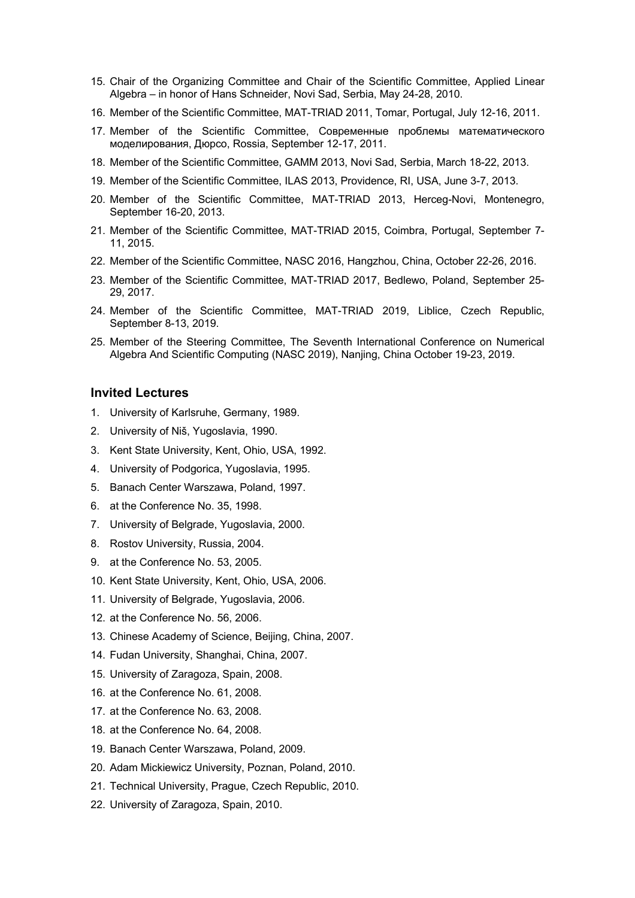- 15. Chair of the Organizing Committee and Chair of the Scientific Committee, Applied Linear Algebra – in honor of Hans Schneider, Novi Sad, Serbia, May 24-28, 2010.
- 16. Member of the Scientific Committee, MAT-TRIAD 2011, Tomar, Portugal, July 12-16, 2011.
- 17. Member of the Scientific Committee, Современные проблемы математического моделирования, Дюрсо, Rossia, September 12-17, 2011.
- 18. Member of the Scientific Committee, GAMM 2013, Novi Sad, Serbia, March 18-22, 2013.
- 19. Member of the Scientific Committee, ILAS 2013, Providence, RI, USA, June 3-7, 2013.
- 20. Member of the Scientific Committee, MAT-TRIAD 2013, Herceg-Novi, Montenegro, September 16-20, 2013.
- 21. Member of the Scientific Committee, MAT-TRIAD 2015, Coimbra, Portugal, September 7- 11, 2015.
- 22. Member of the Scientific Committee, NASC 2016, Hangzhou, China, October 22-26, 2016.
- 23. Member of the Scientific Committee, MAT-TRIAD 2017, Bedlewo, Poland, September 25- 29, 2017.
- 24. Member of the Scientific Committee, MAT-TRIAD 2019, Liblice, Czech Republic, September 8-13, 2019.
- 25. Member of the Steering Committee, The Seventh International Conference on Numerical Algebra And Scientific Computing (NASC 2019), Nanjing, China October 19-23, 2019.

## **Invited Lectures**

- 1. University of Karlsruhe, Germany, 1989.
- 2. University of Niš, Yugoslavia, 1990.
- 3. Kent State University, Kent, Ohio, USA, 1992.
- 4. University of Podgorica, Yugoslavia, 1995.
- 5. Banach Center Warszawa, Poland, 1997.
- 6. at the Conference No. 35, 1998.
- 7. University of Belgrade, Yugoslavia, 2000.
- 8. Rostov University, Russia, 2004.
- 9. at the Conference No. 53, 2005.
- 10. Kent State University, Kent, Ohio, USA, 2006.
- 11. University of Belgrade, Yugoslavia, 2006.
- 12. at the Conference No. 56, 2006.
- 13. Chinese Academy of Science, Beijing, China, 2007.
- 14. Fudan University, Shanghai, China, 2007.
- 15. University of Zaragoza, Spain, 2008.
- 16. at the Conference No. 61, 2008.
- 17. at the Conference No. 63, 2008.
- 18. at the Conference No. 64, 2008.
- 19. Banach Center Warszawa, Poland, 2009.
- 20. Adam Mickiewicz University, Poznan, Poland, 2010.
- 21. Technical University, Prague, Czech Republic, 2010.
- 22. University of Zaragoza, Spain, 2010.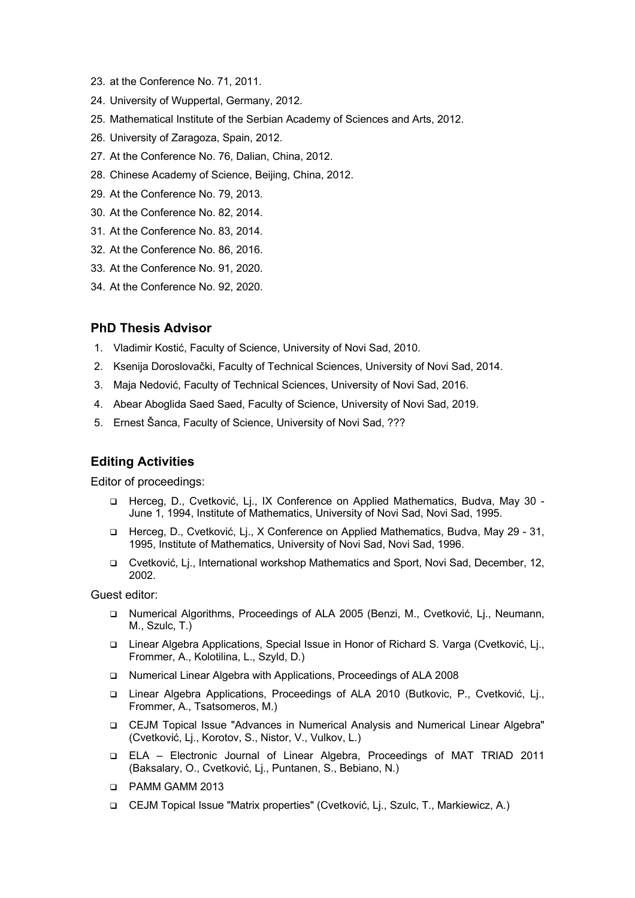- 23. at the Conference No. 71, 2011.
- 24. University of Wuppertal, Germany, 2012.
- 25. Mathematical Institute of the Serbian Academy of Sciences and Arts, 2012.
- 26. University of Zaragoza, Spain, 2012.
- 27. At the Conference No. 76, Dalian, China, 2012.
- 28. Chinese Academy of Science, Beijing, China, 2012.
- 29. At the Conference No. 79, 2013.
- 30. At the Conference No. 82, 2014.
- 31. At the Conference No. 83, 2014.
- 32. At the Conference No. 86, 2016.
- 33. At the Conference No. 91, 2020.
- 34. At the Conference No. 92, 2020.

## **PhD Thesis Advisor**

- 1. Vladimir Kostić, Faculty of Science, University of Novi Sad, 2010.
- 2. Ksenija Doroslovački, Faculty of Technical Sciences, University of Novi Sad, 2014.
- 3. Maja Nedović, Faculty of Technical Sciences, University of Novi Sad, 2016.
- 4. Abear Aboglida Saed Saed, Faculty of Science, University of Novi Sad, 2019.
- 5. Ernest Šanca, Faculty of Science, University of Novi Sad, ???

# **Editing Activities**

Editor of proceedings:

- q Herceg, D., Cvetković, Lj., IX Conference on Applied Mathematics, Budva, May 30 June 1, 1994, Institute of Mathematics, University of Novi Sad, Novi Sad, 1995.
- q Herceg, D., Cvetković, Lj., X Conference on Applied Mathematics, Budva, May 29 31, 1995, Institute of Mathematics, University of Novi Sad, Novi Sad, 1996.
- q Cvetković, Lj., International workshop Mathematics and Sport, Novi Sad, December, 12, 2002.

Guest editor:

- q Numerical Algorithms, Proceedings of ALA 2005 (Benzi, M., Cvetković, Lj., Neumann, M., Szulc, T.)
- □ Linear Algebra Applications, Special Issue in Honor of Richard S. Varga (Cvetković, Lj., Frommer, A., Kolotilina, L., Szyld, D.)
- q Numerical Linear Algebra with Applications, Proceedings of ALA 2008
- □ Linear Algebra Applications, Proceedings of ALA 2010 (Butkovic, P., Cvetković, Lj., Frommer, A., Tsatsomeros, M.)
- q CEJM Topical Issue "Advances in Numerical Analysis and Numerical Linear Algebra" (Cvetković, Lj., Korotov, S., Nistor, V., Vulkov, L.)
- q ELA Electronic Journal of Linear Algebra, Proceedings of MAT TRIAD 2011 (Baksalary, O., Cvetković, Lj., Puntanen, S., Bebiano, N.)
- q PAMM GAMM 2013
- q CEJM Topical Issue "Matrix properties" (Cvetković, Lj., Szulc, T., Markiewicz, A.)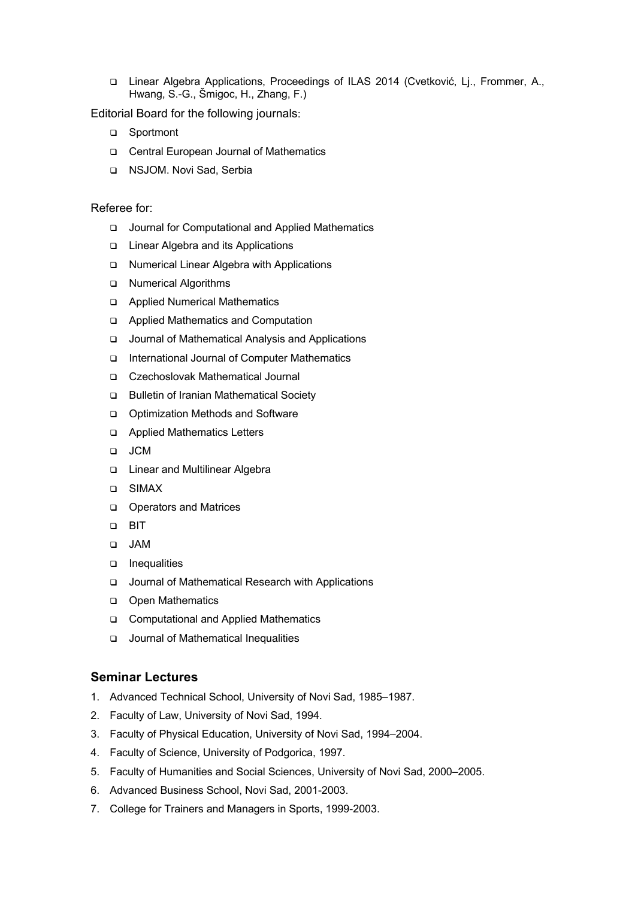q Linear Algebra Applications, Proceedings of ILAS 2014 (Cvetković, Lj., Frommer, A., Hwang, S.-G., Šmigoc, H., Zhang, F.)

Editorial Board for the following journals:

- □ Sportmont
- □ Central European Journal of Mathematics
- q NSJOM. Novi Sad, Serbia

## Referee for:

- q Journal for Computational and Applied Mathematics
- □ Linear Algebra and its Applications
- q Numerical Linear Algebra with Applications
- q Numerical Algorithms
- q Applied Numerical Mathematics
- q Applied Mathematics and Computation
- q Journal of Mathematical Analysis and Applications
- q International Journal of Computer Mathematics
- q Czechoslovak Mathematical Journal
- □ Bulletin of Iranian Mathematical Society
- q Optimization Methods and Software
- q Applied Mathematics Letters
- q JCM
- □ Linear and Multilinear Algebra
- q SIMAX
- **Q** Operators and Matrices
- q BIT
- q JAM
- **q** Inequalities
- q Journal of Mathematical Research with Applications
- o Open Mathematics
- □ Computational and Applied Mathematics
- □ Journal of Mathematical Inequalities

## **Seminar Lectures**

- 1. Advanced Technical School, University of Novi Sad, 1985–1987.
- 2. Faculty of Law, University of Novi Sad, 1994.
- 3. Faculty of Physical Education, University of Novi Sad, 1994–2004.
- 4. Faculty of Science, University of Podgorica, 1997.
- 5. Faculty of Humanities and Social Sciences, University of Novi Sad, 2000–2005.
- 6. Advanced Business School, Novi Sad, 2001-2003.
- 7. College for Trainers and Managers in Sports, 1999-2003.